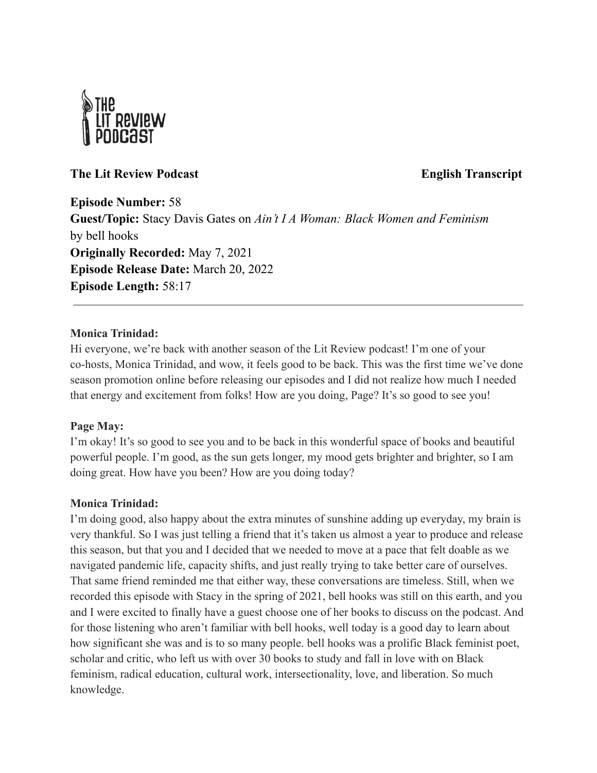

# **The Lit Review Podcast English Transcript**

**Episode Number:** 58 **Guest/Topic:** Stacy Davis Gates on *Ain't I A Woman: Black Women and Feminism* by bell hooks **Originally Recorded:** May 7, 2021 **Episode Release Date:** March 20, 2022 **Episode Length:** 58:17

## **Monica Trinidad:**

Hi everyone, we're back with another season of the Lit Review podcast! I'm one of your co-hosts, Monica Trinidad, and wow, it feels good to be back. This was the first time we've done season promotion online before releasing our episodes and I did not realize how much I needed that energy and excitement from folks! How are you doing, Page? It's so good to see you!

## **Page May:**

I'm okay! It's so good to see you and to be back in this wonderful space of books and beautiful powerful people. I'm good, as the sun gets longer, my mood gets brighter and brighter, so I am doing great. How have you been? How are you doing today?

## **Monica Trinidad:**

I'm doing good, also happy about the extra minutes of sunshine adding up everyday, my brain is very thankful. So I was just telling a friend that it's taken us almost a year to produce and release this season, but that you and I decided that we needed to move at a pace that felt doable as we navigated pandemic life, capacity shifts, and just really trying to take better care of ourselves. That same friend reminded me that either way, these conversations are timeless. Still, when we recorded this episode with Stacy in the spring of 2021, bell hooks was still on this earth, and you and I were excited to finally have a guest choose one of her books to discuss on the podcast. And for those listening who aren't familiar with bell hooks, well today is a good day to learn about how significant she was and is to so many people. bell hooks was a prolific Black feminist poet, scholar and critic, who left us with over 30 books to study and fall in love with on Black feminism, radical education, cultural work, intersectionality, love, and liberation. So much knowledge.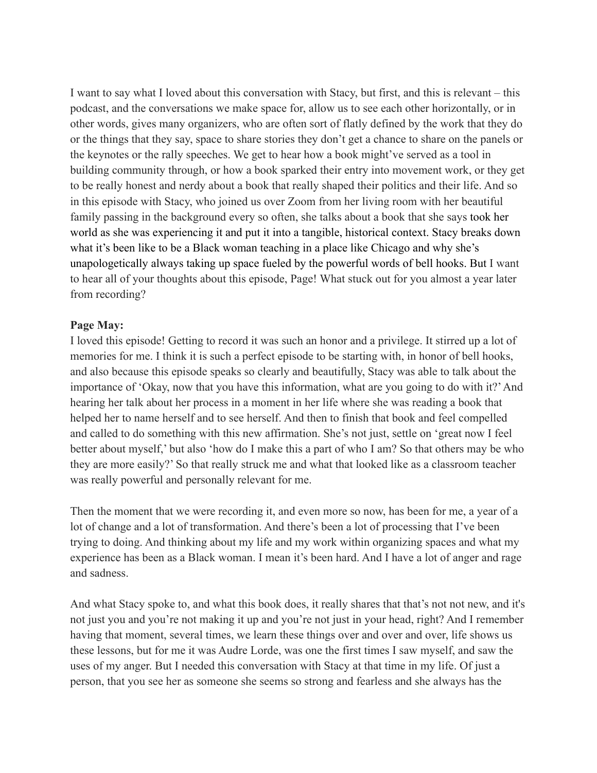I want to say what I loved about this conversation with Stacy, but first, and this is relevant – this podcast, and the conversations we make space for, allow us to see each other horizontally, or in other words, gives many organizers, who are often sort of flatly defined by the work that they do or the things that they say, space to share stories they don't get a chance to share on the panels or the keynotes or the rally speeches. We get to hear how a book might've served as a tool in building community through, or how a book sparked their entry into movement work, or they get to be really honest and nerdy about a book that really shaped their politics and their life. And so in this episode with Stacy, who joined us over Zoom from her living room with her beautiful family passing in the background every so often, she talks about a book that she says took her world as she was experiencing it and put it into a tangible, historical context. Stacy breaks down what it's been like to be a Black woman teaching in a place like Chicago and why she's unapologetically always taking up space fueled by the powerful words of bell hooks. But I want to hear all of your thoughts about this episode, Page! What stuck out for you almost a year later from recording?

## **Page May:**

I loved this episode! Getting to record it was such an honor and a privilege. It stirred up a lot of memories for me. I think it is such a perfect episode to be starting with, in honor of bell hooks, and also because this episode speaks so clearly and beautifully, Stacy was able to talk about the importance of 'Okay, now that you have this information, what are you going to do with it?'And hearing her talk about her process in a moment in her life where she was reading a book that helped her to name herself and to see herself. And then to finish that book and feel compelled and called to do something with this new affirmation. She's not just, settle on 'great now I feel better about myself,' but also 'how do I make this a part of who I am? So that others may be who they are more easily?' So that really struck me and what that looked like as a classroom teacher was really powerful and personally relevant for me.

Then the moment that we were recording it, and even more so now, has been for me, a year of a lot of change and a lot of transformation. And there's been a lot of processing that I've been trying to doing. And thinking about my life and my work within organizing spaces and what my experience has been as a Black woman. I mean it's been hard. And I have a lot of anger and rage and sadness.

And what Stacy spoke to, and what this book does, it really shares that that's not not new, and it's not just you and you're not making it up and you're not just in your head, right? And I remember having that moment, several times, we learn these things over and over and over, life shows us these lessons, but for me it was Audre Lorde, was one the first times I saw myself, and saw the uses of my anger. But I needed this conversation with Stacy at that time in my life. Of just a person, that you see her as someone she seems so strong and fearless and she always has the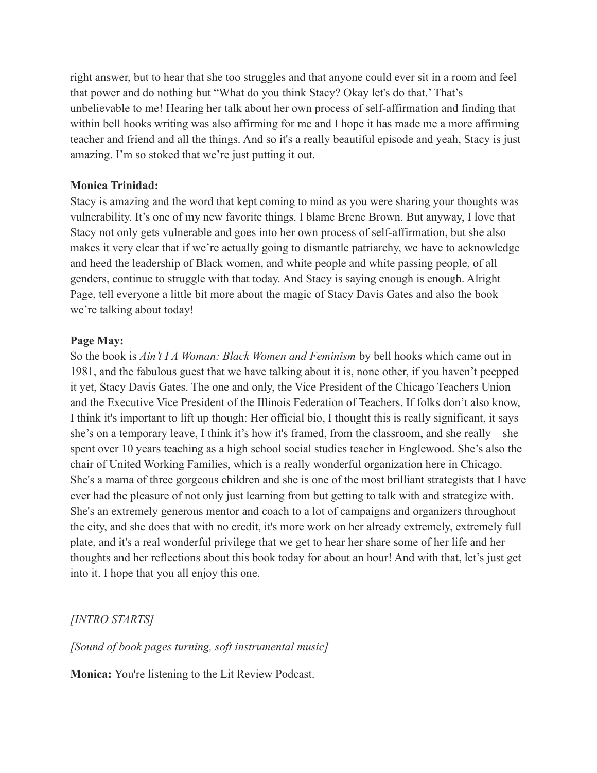right answer, but to hear that she too struggles and that anyone could ever sit in a room and feel that power and do nothing but "What do you think Stacy? Okay let's do that.' That's unbelievable to me! Hearing her talk about her own process of self-affirmation and finding that within bell hooks writing was also affirming for me and I hope it has made me a more affirming teacher and friend and all the things. And so it's a really beautiful episode and yeah, Stacy is just amazing. I'm so stoked that we're just putting it out.

## **Monica Trinidad:**

Stacy is amazing and the word that kept coming to mind as you were sharing your thoughts was vulnerability. It's one of my new favorite things. I blame Brene Brown. But anyway, I love that Stacy not only gets vulnerable and goes into her own process of self-affirmation, but she also makes it very clear that if we're actually going to dismantle patriarchy, we have to acknowledge and heed the leadership of Black women, and white people and white passing people, of all genders, continue to struggle with that today. And Stacy is saying enough is enough. Alright Page, tell everyone a little bit more about the magic of Stacy Davis Gates and also the book we're talking about today!

#### **Page May:**

So the book is *Ain't I A Woman: Black Women and Feminism* by bell hooks which came out in 1981, and the fabulous guest that we have talking about it is, none other, if you haven't peepped it yet, Stacy Davis Gates. The one and only, the Vice President of the Chicago Teachers Union and the Executive Vice President of the Illinois Federation of Teachers. If folks don't also know, I think it's important to lift up though: Her official bio, I thought this is really significant, it says she's on a temporary leave, I think it's how it's framed, from the classroom, and she really – she spent over 10 years teaching as a high school social studies teacher in Englewood. She's also the chair of United Working Families, which is a really wonderful organization here in Chicago. She's a mama of three gorgeous children and she is one of the most brilliant strategists that I have ever had the pleasure of not only just learning from but getting to talk with and strategize with. She's an extremely generous mentor and coach to a lot of campaigns and organizers throughout the city, and she does that with no credit, it's more work on her already extremely, extremely full plate, and it's a real wonderful privilege that we get to hear her share some of her life and her thoughts and her reflections about this book today for about an hour! And with that, let's just get into it. I hope that you all enjoy this one.

# *[INTRO STARTS]*

*[Sound of book pages turning, soft instrumental music]*

**Monica:** You're listening to the Lit Review Podcast.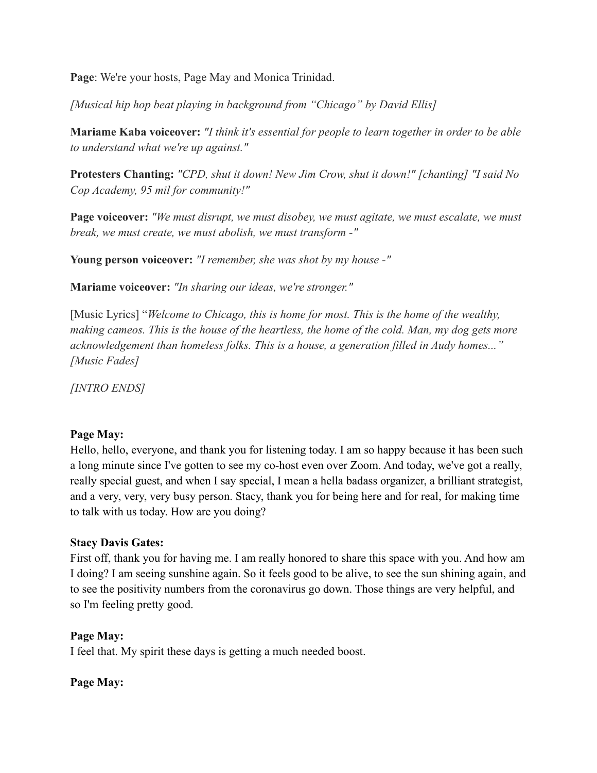**Page**: We're your hosts, Page May and Monica Trinidad.

*[Musical hip hop beat playing in background from "Chicago" by David Ellis]*

**Mariame Kaba voiceover:** *"I think it's essential for people to learn together in order to be able to understand what we're up against."*

**Protesters Chanting:** *"CPD, shut it down! New Jim Crow, shut it down!" [chanting] "I said No Cop Academy, 95 mil for community!"*

**Page voiceover:** *"We must disrupt, we must disobey, we must agitate, we must escalate, we must break, we must create, we must abolish, we must transform -"*

**Young person voiceover:** *"I remember, she was shot by my house -"*

**Mariame voiceover:** *"In sharing our ideas, we're stronger."*

[Music Lyrics] "*Welcome to Chicago, this is home for most. This is the home of the wealthy, making cameos. This is the house of the heartless, the home of the cold. Man, my dog gets more acknowledgement than homeless folks. This is a house, a generation filled in Audy homes..." [Music Fades]*

*[INTRO ENDS]*

## **Page May:**

Hello, hello, everyone, and thank you for listening today. I am so happy because it has been such a long minute since I've gotten to see my co-host even over Zoom. And today, we've got a really, really special guest, and when I say special, I mean a hella badass organizer, a brilliant strategist, and a very, very, very busy person. Stacy, thank you for being here and for real, for making time to talk with us today. How are you doing?

# **Stacy Davis Gates:**

First off, thank you for having me. I am really honored to share this space with you. And how am I doing? I am seeing sunshine again. So it feels good to be alive, to see the sun shining again, and to see the positivity numbers from the coronavirus go down. Those things are very helpful, and so I'm feeling pretty good.

# **Page May:**

I feel that. My spirit these days is getting a much needed boost.

# **Page May:**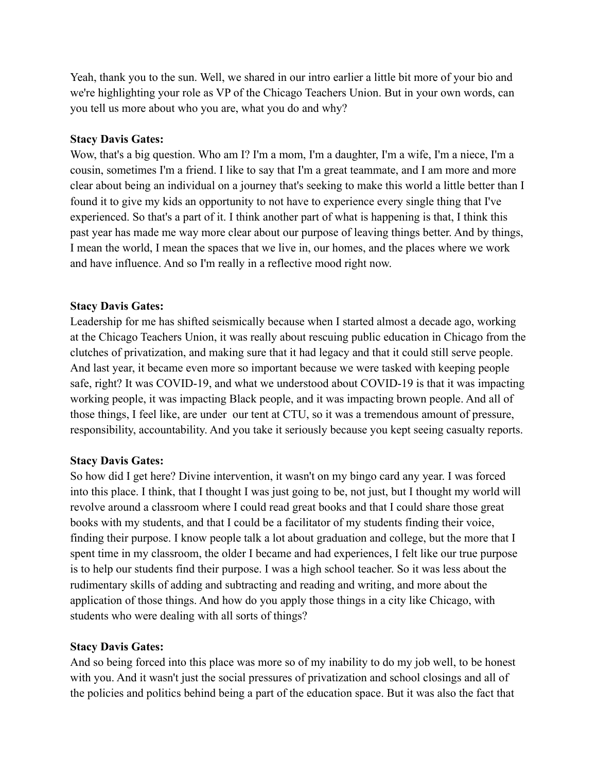Yeah, thank you to the sun. Well, we shared in our intro earlier a little bit more of your bio and we're highlighting your role as VP of the Chicago Teachers Union. But in your own words, can you tell us more about who you are, what you do and why?

## **Stacy Davis Gates:**

Wow, that's a big question. Who am I? I'm a mom, I'm a daughter, I'm a wife, I'm a niece, I'm a cousin, sometimes I'm a friend. I like to say that I'm a great teammate, and I am more and more clear about being an individual on a journey that's seeking to make this world a little better than I found it to give my kids an opportunity to not have to experience every single thing that I've experienced. So that's a part of it. I think another part of what is happening is that, I think this past year has made me way more clear about our purpose of leaving things better. And by things, I mean the world, I mean the spaces that we live in, our homes, and the places where we work and have influence. And so I'm really in a reflective mood right now.

## **Stacy Davis Gates:**

Leadership for me has shifted seismically because when I started almost a decade ago, working at the Chicago Teachers Union, it was really about rescuing public education in Chicago from the clutches of privatization, and making sure that it had legacy and that it could still serve people. And last year, it became even more so important because we were tasked with keeping people safe, right? It was COVID-19, and what we understood about COVID-19 is that it was impacting working people, it was impacting Black people, and it was impacting brown people. And all of those things, I feel like, are under our tent at CTU, so it was a tremendous amount of pressure, responsibility, accountability. And you take it seriously because you kept seeing casualty reports.

## **Stacy Davis Gates:**

So how did I get here? Divine intervention, it wasn't on my bingo card any year. I was forced into this place. I think, that I thought I was just going to be, not just, but I thought my world will revolve around a classroom where I could read great books and that I could share those great books with my students, and that I could be a facilitator of my students finding their voice, finding their purpose. I know people talk a lot about graduation and college, but the more that I spent time in my classroom, the older I became and had experiences, I felt like our true purpose is to help our students find their purpose. I was a high school teacher. So it was less about the rudimentary skills of adding and subtracting and reading and writing, and more about the application of those things. And how do you apply those things in a city like Chicago, with students who were dealing with all sorts of things?

## **Stacy Davis Gates:**

And so being forced into this place was more so of my inability to do my job well, to be honest with you. And it wasn't just the social pressures of privatization and school closings and all of the policies and politics behind being a part of the education space. But it was also the fact that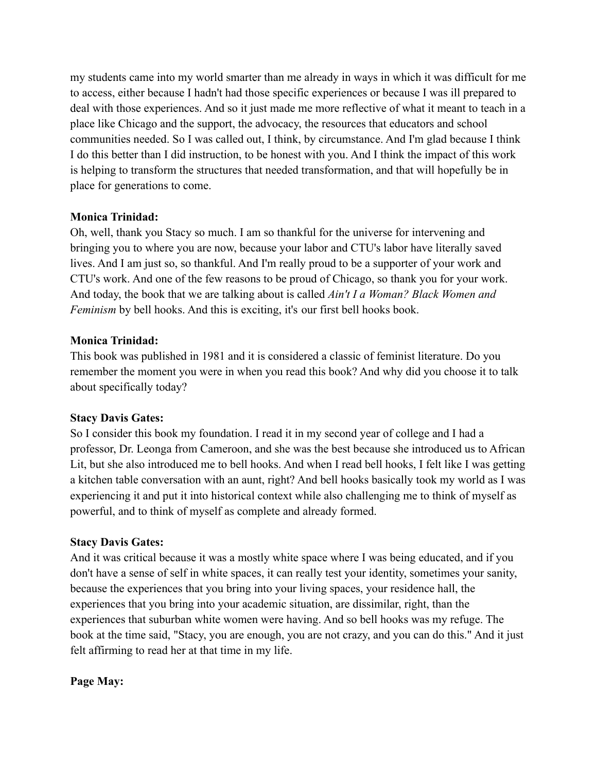my students came into my world smarter than me already in ways in which it was difficult for me to access, either because I hadn't had those specific experiences or because I was ill prepared to deal with those experiences. And so it just made me more reflective of what it meant to teach in a place like Chicago and the support, the advocacy, the resources that educators and school communities needed. So I was called out, I think, by circumstance. And I'm glad because I think I do this better than I did instruction, to be honest with you. And I think the impact of this work is helping to transform the structures that needed transformation, and that will hopefully be in place for generations to come.

## **Monica Trinidad:**

Oh, well, thank you Stacy so much. I am so thankful for the universe for intervening and bringing you to where you are now, because your labor and CTU's labor have literally saved lives. And I am just so, so thankful. And I'm really proud to be a supporter of your work and CTU's work. And one of the few reasons to be proud of Chicago, so thank you for your work. And today, the book that we are talking about is called *Ain't I a Woman? Black Women and Feminism* by bell hooks. And this is exciting, it's our first bell hooks book.

## **Monica Trinidad:**

This book was published in 1981 and it is considered a classic of feminist literature. Do you remember the moment you were in when you read this book? And why did you choose it to talk about specifically today?

## **Stacy Davis Gates:**

So I consider this book my foundation. I read it in my second year of college and I had a professor, Dr. Leonga from Cameroon, and she was the best because she introduced us to African Lit, but she also introduced me to bell hooks. And when I read bell hooks, I felt like I was getting a kitchen table conversation with an aunt, right? And bell hooks basically took my world as I was experiencing it and put it into historical context while also challenging me to think of myself as powerful, and to think of myself as complete and already formed.

## **Stacy Davis Gates:**

And it was critical because it was a mostly white space where I was being educated, and if you don't have a sense of self in white spaces, it can really test your identity, sometimes your sanity, because the experiences that you bring into your living spaces, your residence hall, the experiences that you bring into your academic situation, are dissimilar, right, than the experiences that suburban white women were having. And so bell hooks was my refuge. The book at the time said, "Stacy, you are enough, you are not crazy, and you can do this." And it just felt affirming to read her at that time in my life.

## **Page May:**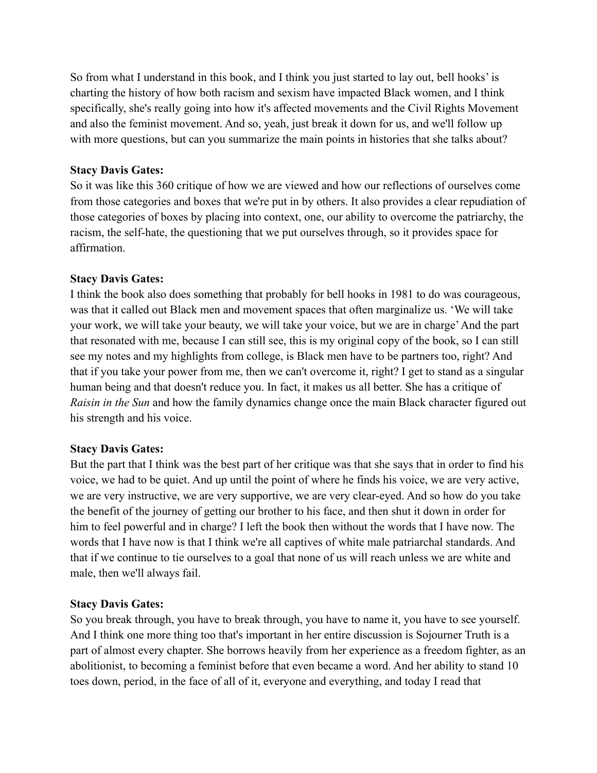So from what I understand in this book, and I think you just started to lay out, bell hooks' is charting the history of how both racism and sexism have impacted Black women, and I think specifically, she's really going into how it's affected movements and the Civil Rights Movement and also the feminist movement. And so, yeah, just break it down for us, and we'll follow up with more questions, but can you summarize the main points in histories that she talks about?

## **Stacy Davis Gates:**

So it was like this 360 critique of how we are viewed and how our reflections of ourselves come from those categories and boxes that we're put in by others. It also provides a clear repudiation of those categories of boxes by placing into context, one, our ability to overcome the patriarchy, the racism, the self-hate, the questioning that we put ourselves through, so it provides space for affirmation.

## **Stacy Davis Gates:**

I think the book also does something that probably for bell hooks in 1981 to do was courageous, was that it called out Black men and movement spaces that often marginalize us. 'We will take your work, we will take your beauty, we will take your voice, but we are in charge'And the part that resonated with me, because I can still see, this is my original copy of the book, so I can still see my notes and my highlights from college, is Black men have to be partners too, right? And that if you take your power from me, then we can't overcome it, right? I get to stand as a singular human being and that doesn't reduce you. In fact, it makes us all better. She has a critique of *Raisin in the Sun* and how the family dynamics change once the main Black character figured out his strength and his voice.

## **Stacy Davis Gates:**

But the part that I think was the best part of her critique was that she says that in order to find his voice, we had to be quiet. And up until the point of where he finds his voice, we are very active, we are very instructive, we are very supportive, we are very clear-eyed. And so how do you take the benefit of the journey of getting our brother to his face, and then shut it down in order for him to feel powerful and in charge? I left the book then without the words that I have now. The words that I have now is that I think we're all captives of white male patriarchal standards. And that if we continue to tie ourselves to a goal that none of us will reach unless we are white and male, then we'll always fail.

#### **Stacy Davis Gates:**

So you break through, you have to break through, you have to name it, you have to see yourself. And I think one more thing too that's important in her entire discussion is Sojourner Truth is a part of almost every chapter. She borrows heavily from her experience as a freedom fighter, as an abolitionist, to becoming a feminist before that even became a word. And her ability to stand 10 toes down, period, in the face of all of it, everyone and everything, and today I read that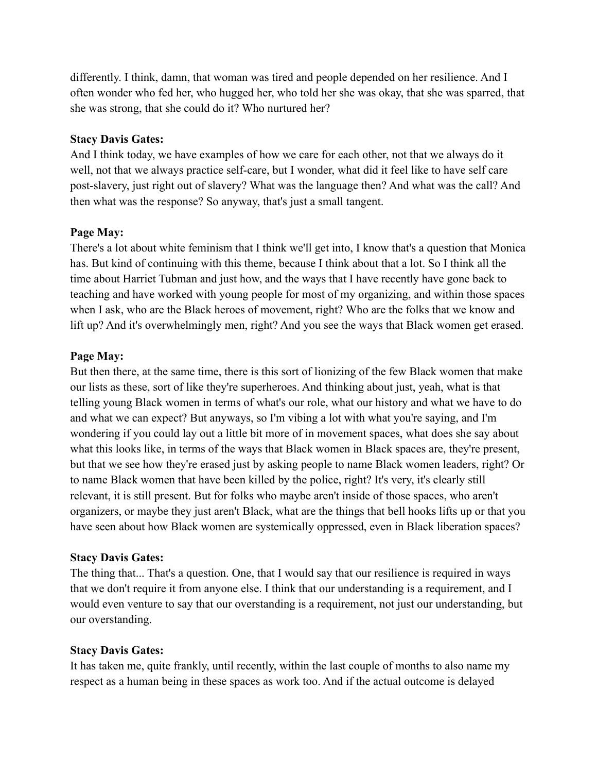differently. I think, damn, that woman was tired and people depended on her resilience. And I often wonder who fed her, who hugged her, who told her she was okay, that she was sparred, that she was strong, that she could do it? Who nurtured her?

### **Stacy Davis Gates:**

And I think today, we have examples of how we care for each other, not that we always do it well, not that we always practice self-care, but I wonder, what did it feel like to have self care post-slavery, just right out of slavery? What was the language then? And what was the call? And then what was the response? So anyway, that's just a small tangent.

## **Page May:**

There's a lot about white feminism that I think we'll get into, I know that's a question that Monica has. But kind of continuing with this theme, because I think about that a lot. So I think all the time about Harriet Tubman and just how, and the ways that I have recently have gone back to teaching and have worked with young people for most of my organizing, and within those spaces when I ask, who are the Black heroes of movement, right? Who are the folks that we know and lift up? And it's overwhelmingly men, right? And you see the ways that Black women get erased.

## **Page May:**

But then there, at the same time, there is this sort of lionizing of the few Black women that make our lists as these, sort of like they're superheroes. And thinking about just, yeah, what is that telling young Black women in terms of what's our role, what our history and what we have to do and what we can expect? But anyways, so I'm vibing a lot with what you're saying, and I'm wondering if you could lay out a little bit more of in movement spaces, what does she say about what this looks like, in terms of the ways that Black women in Black spaces are, they're present, but that we see how they're erased just by asking people to name Black women leaders, right? Or to name Black women that have been killed by the police, right? It's very, it's clearly still relevant, it is still present. But for folks who maybe aren't inside of those spaces, who aren't organizers, or maybe they just aren't Black, what are the things that bell hooks lifts up or that you have seen about how Black women are systemically oppressed, even in Black liberation spaces?

#### **Stacy Davis Gates:**

The thing that... That's a question. One, that I would say that our resilience is required in ways that we don't require it from anyone else. I think that our understanding is a requirement, and I would even venture to say that our overstanding is a requirement, not just our understanding, but our overstanding.

## **Stacy Davis Gates:**

It has taken me, quite frankly, until recently, within the last couple of months to also name my respect as a human being in these spaces as work too. And if the actual outcome is delayed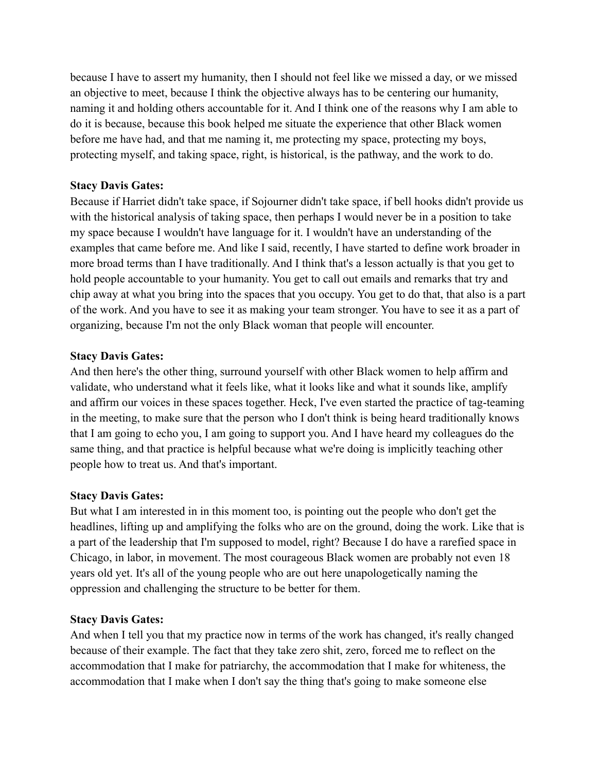because I have to assert my humanity, then I should not feel like we missed a day, or we missed an objective to meet, because I think the objective always has to be centering our humanity, naming it and holding others accountable for it. And I think one of the reasons why I am able to do it is because, because this book helped me situate the experience that other Black women before me have had, and that me naming it, me protecting my space, protecting my boys, protecting myself, and taking space, right, is historical, is the pathway, and the work to do.

## **Stacy Davis Gates:**

Because if Harriet didn't take space, if Sojourner didn't take space, if bell hooks didn't provide us with the historical analysis of taking space, then perhaps I would never be in a position to take my space because I wouldn't have language for it. I wouldn't have an understanding of the examples that came before me. And like I said, recently, I have started to define work broader in more broad terms than I have traditionally. And I think that's a lesson actually is that you get to hold people accountable to your humanity. You get to call out emails and remarks that try and chip away at what you bring into the spaces that you occupy. You get to do that, that also is a part of the work. And you have to see it as making your team stronger. You have to see it as a part of organizing, because I'm not the only Black woman that people will encounter.

## **Stacy Davis Gates:**

And then here's the other thing, surround yourself with other Black women to help affirm and validate, who understand what it feels like, what it looks like and what it sounds like, amplify and affirm our voices in these spaces together. Heck, I've even started the practice of tag-teaming in the meeting, to make sure that the person who I don't think is being heard traditionally knows that I am going to echo you, I am going to support you. And I have heard my colleagues do the same thing, and that practice is helpful because what we're doing is implicitly teaching other people how to treat us. And that's important.

## **Stacy Davis Gates:**

But what I am interested in in this moment too, is pointing out the people who don't get the headlines, lifting up and amplifying the folks who are on the ground, doing the work. Like that is a part of the leadership that I'm supposed to model, right? Because I do have a rarefied space in Chicago, in labor, in movement. The most courageous Black women are probably not even 18 years old yet. It's all of the young people who are out here unapologetically naming the oppression and challenging the structure to be better for them.

## **Stacy Davis Gates:**

And when I tell you that my practice now in terms of the work has changed, it's really changed because of their example. The fact that they take zero shit, zero, forced me to reflect on the accommodation that I make for patriarchy, the accommodation that I make for whiteness, the accommodation that I make when I don't say the thing that's going to make someone else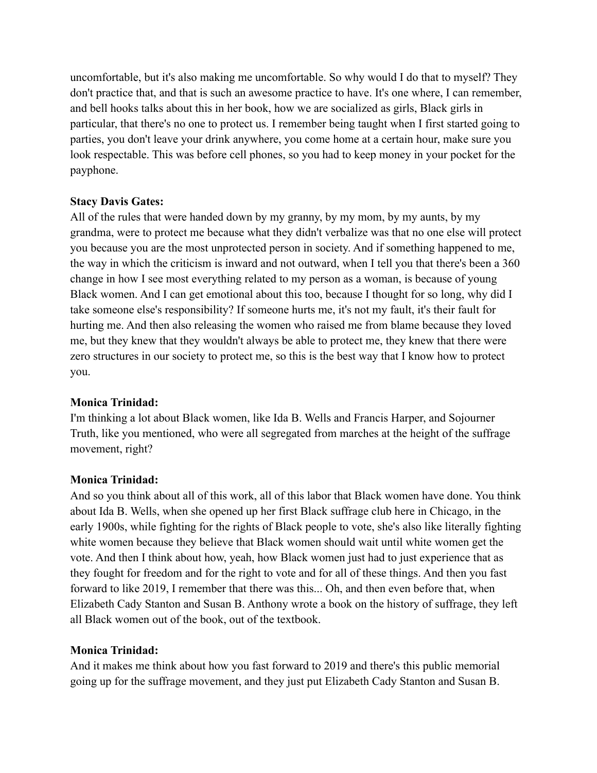uncomfortable, but it's also making me uncomfortable. So why would I do that to myself? They don't practice that, and that is such an awesome practice to have. It's one where, I can remember, and bell hooks talks about this in her book, how we are socialized as girls, Black girls in particular, that there's no one to protect us. I remember being taught when I first started going to parties, you don't leave your drink anywhere, you come home at a certain hour, make sure you look respectable. This was before cell phones, so you had to keep money in your pocket for the payphone.

## **Stacy Davis Gates:**

All of the rules that were handed down by my granny, by my mom, by my aunts, by my grandma, were to protect me because what they didn't verbalize was that no one else will protect you because you are the most unprotected person in society. And if something happened to me, the way in which the criticism is inward and not outward, when I tell you that there's been a 360 change in how I see most everything related to my person as a woman, is because of young Black women. And I can get emotional about this too, because I thought for so long, why did I take someone else's responsibility? If someone hurts me, it's not my fault, it's their fault for hurting me. And then also releasing the women who raised me from blame because they loved me, but they knew that they wouldn't always be able to protect me, they knew that there were zero structures in our society to protect me, so this is the best way that I know how to protect you.

## **Monica Trinidad:**

I'm thinking a lot about Black women, like Ida B. Wells and Francis Harper, and Sojourner Truth, like you mentioned, who were all segregated from marches at the height of the suffrage movement, right?

#### **Monica Trinidad:**

And so you think about all of this work, all of this labor that Black women have done. You think about Ida B. Wells, when she opened up her first Black suffrage club here in Chicago, in the early 1900s, while fighting for the rights of Black people to vote, she's also like literally fighting white women because they believe that Black women should wait until white women get the vote. And then I think about how, yeah, how Black women just had to just experience that as they fought for freedom and for the right to vote and for all of these things. And then you fast forward to like 2019, I remember that there was this... Oh, and then even before that, when Elizabeth Cady Stanton and Susan B. Anthony wrote a book on the history of suffrage, they left all Black women out of the book, out of the textbook.

## **Monica Trinidad:**

And it makes me think about how you fast forward to 2019 and there's this public memorial going up for the suffrage movement, and they just put Elizabeth Cady Stanton and Susan B.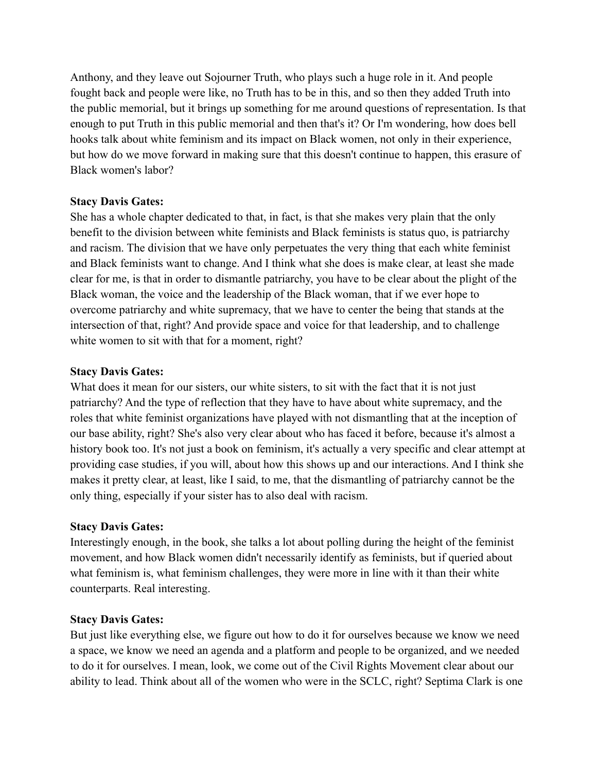Anthony, and they leave out Sojourner Truth, who plays such a huge role in it. And people fought back and people were like, no Truth has to be in this, and so then they added Truth into the public memorial, but it brings up something for me around questions of representation. Is that enough to put Truth in this public memorial and then that's it? Or I'm wondering, how does bell hooks talk about white feminism and its impact on Black women, not only in their experience, but how do we move forward in making sure that this doesn't continue to happen, this erasure of Black women's labor?

## **Stacy Davis Gates:**

She has a whole chapter dedicated to that, in fact, is that she makes very plain that the only benefit to the division between white feminists and Black feminists is status quo, is patriarchy and racism. The division that we have only perpetuates the very thing that each white feminist and Black feminists want to change. And I think what she does is make clear, at least she made clear for me, is that in order to dismantle patriarchy, you have to be clear about the plight of the Black woman, the voice and the leadership of the Black woman, that if we ever hope to overcome patriarchy and white supremacy, that we have to center the being that stands at the intersection of that, right? And provide space and voice for that leadership, and to challenge white women to sit with that for a moment, right?

## **Stacy Davis Gates:**

What does it mean for our sisters, our white sisters, to sit with the fact that it is not just patriarchy? And the type of reflection that they have to have about white supremacy, and the roles that white feminist organizations have played with not dismantling that at the inception of our base ability, right? She's also very clear about who has faced it before, because it's almost a history book too. It's not just a book on feminism, it's actually a very specific and clear attempt at providing case studies, if you will, about how this shows up and our interactions. And I think she makes it pretty clear, at least, like I said, to me, that the dismantling of patriarchy cannot be the only thing, especially if your sister has to also deal with racism.

## **Stacy Davis Gates:**

Interestingly enough, in the book, she talks a lot about polling during the height of the feminist movement, and how Black women didn't necessarily identify as feminists, but if queried about what feminism is, what feminism challenges, they were more in line with it than their white counterparts. Real interesting.

#### **Stacy Davis Gates:**

But just like everything else, we figure out how to do it for ourselves because we know we need a space, we know we need an agenda and a platform and people to be organized, and we needed to do it for ourselves. I mean, look, we come out of the Civil Rights Movement clear about our ability to lead. Think about all of the women who were in the SCLC, right? Septima Clark is one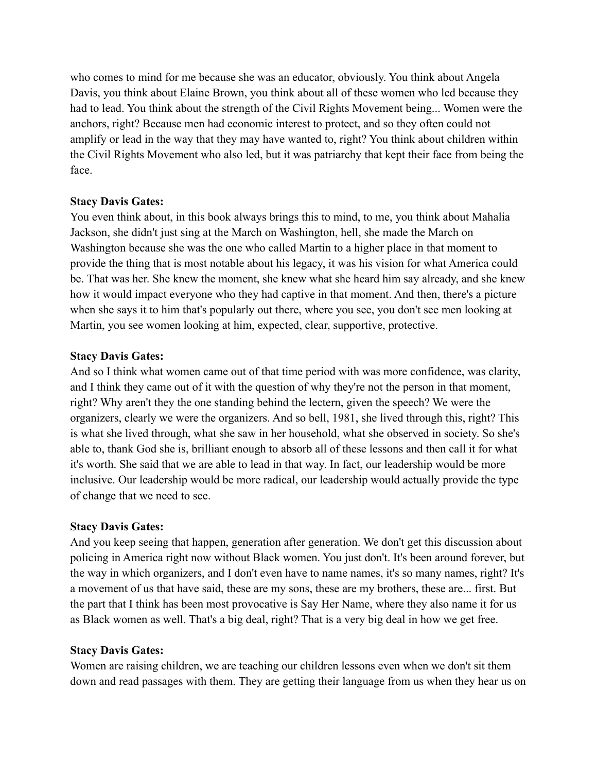who comes to mind for me because she was an educator, obviously. You think about Angela Davis, you think about Elaine Brown, you think about all of these women who led because they had to lead. You think about the strength of the Civil Rights Movement being... Women were the anchors, right? Because men had economic interest to protect, and so they often could not amplify or lead in the way that they may have wanted to, right? You think about children within the Civil Rights Movement who also led, but it was patriarchy that kept their face from being the face.

## **Stacy Davis Gates:**

You even think about, in this book always brings this to mind, to me, you think about Mahalia Jackson, she didn't just sing at the March on Washington, hell, she made the March on Washington because she was the one who called Martin to a higher place in that moment to provide the thing that is most notable about his legacy, it was his vision for what America could be. That was her. She knew the moment, she knew what she heard him say already, and she knew how it would impact everyone who they had captive in that moment. And then, there's a picture when she says it to him that's popularly out there, where you see, you don't see men looking at Martin, you see women looking at him, expected, clear, supportive, protective.

## **Stacy Davis Gates:**

And so I think what women came out of that time period with was more confidence, was clarity, and I think they came out of it with the question of why they're not the person in that moment, right? Why aren't they the one standing behind the lectern, given the speech? We were the organizers, clearly we were the organizers. And so bell, 1981, she lived through this, right? This is what she lived through, what she saw in her household, what she observed in society. So she's able to, thank God she is, brilliant enough to absorb all of these lessons and then call it for what it's worth. She said that we are able to lead in that way. In fact, our leadership would be more inclusive. Our leadership would be more radical, our leadership would actually provide the type of change that we need to see.

## **Stacy Davis Gates:**

And you keep seeing that happen, generation after generation. We don't get this discussion about policing in America right now without Black women. You just don't. It's been around forever, but the way in which organizers, and I don't even have to name names, it's so many names, right? It's a movement of us that have said, these are my sons, these are my brothers, these are... first. But the part that I think has been most provocative is Say Her Name, where they also name it for us as Black women as well. That's a big deal, right? That is a very big deal in how we get free.

## **Stacy Davis Gates:**

Women are raising children, we are teaching our children lessons even when we don't sit them down and read passages with them. They are getting their language from us when they hear us on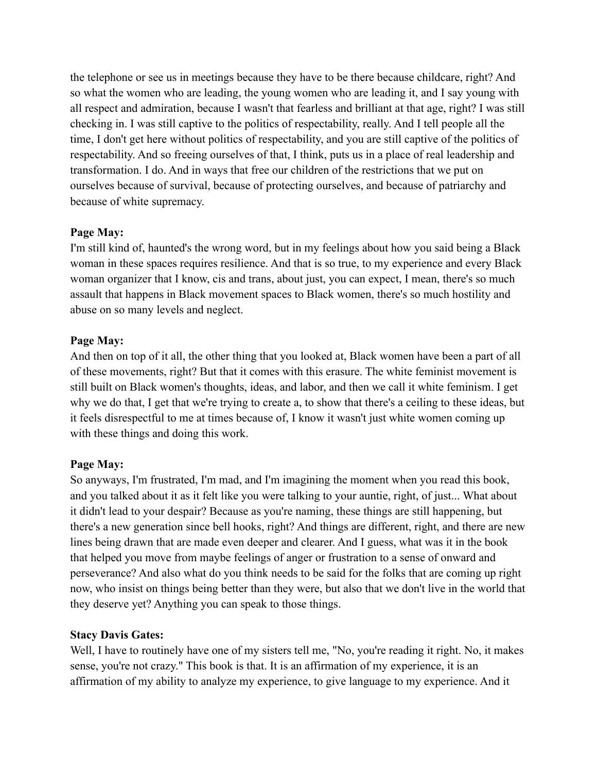the telephone or see us in meetings because they have to be there because childcare, right? And so what the women who are leading, the young women who are leading it, and I say young with all respect and admiration, because I wasn't that fearless and brilliant at that age, right? I was still checking in. I was still captive to the politics of respectability, really. And I tell people all the time, I don't get here without politics of respectability, and you are still captive of the politics of respectability. And so freeing ourselves of that, I think, puts us in a place of real leadership and transformation. I do. And in ways that free our children of the restrictions that we put on ourselves because of survival, because of protecting ourselves, and because of patriarchy and because of white supremacy.

## **Page May:**

I'm still kind of, haunted's the wrong word, but in my feelings about how you said being a Black woman in these spaces requires resilience. And that is so true, to my experience and every Black woman organizer that I know, cis and trans, about just, you can expect, I mean, there's so much assault that happens in Black movement spaces to Black women, there's so much hostility and abuse on so many levels and neglect.

## **Page May:**

And then on top of it all, the other thing that you looked at, Black women have been a part of all of these movements, right? But that it comes with this erasure. The white feminist movement is still built on Black women's thoughts, ideas, and labor, and then we call it white feminism. I get why we do that, I get that we're trying to create a, to show that there's a ceiling to these ideas, but it feels disrespectful to me at times because of, I know it wasn't just white women coming up with these things and doing this work.

# **Page May:**

So anyways, I'm frustrated, I'm mad, and I'm imagining the moment when you read this book, and you talked about it as it felt like you were talking to your auntie, right, of just... What about it didn't lead to your despair? Because as you're naming, these things are still happening, but there's a new generation since bell hooks, right? And things are different, right, and there are new lines being drawn that are made even deeper and clearer. And I guess, what was it in the book that helped you move from maybe feelings of anger or frustration to a sense of onward and perseverance? And also what do you think needs to be said for the folks that are coming up right now, who insist on things being better than they were, but also that we don't live in the world that they deserve yet? Anything you can speak to those things.

## **Stacy Davis Gates:**

Well, I have to routinely have one of my sisters tell me, "No, you're reading it right. No, it makes sense, you're not crazy." This book is that. It is an affirmation of my experience, it is an affirmation of my ability to analyze my experience, to give language to my experience. And it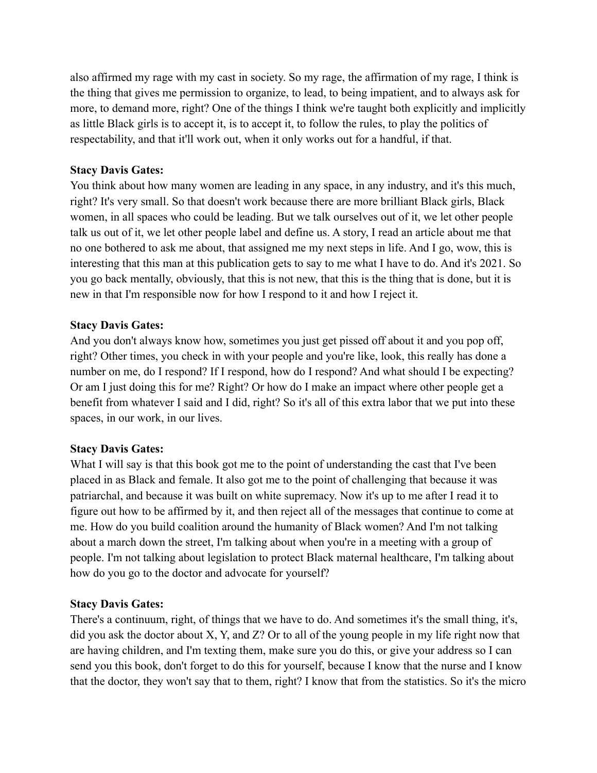also affirmed my rage with my cast in society. So my rage, the affirmation of my rage, I think is the thing that gives me permission to organize, to lead, to being impatient, and to always ask for more, to demand more, right? One of the things I think we're taught both explicitly and implicitly as little Black girls is to accept it, is to accept it, to follow the rules, to play the politics of respectability, and that it'll work out, when it only works out for a handful, if that.

## **Stacy Davis Gates:**

You think about how many women are leading in any space, in any industry, and it's this much, right? It's very small. So that doesn't work because there are more brilliant Black girls, Black women, in all spaces who could be leading. But we talk ourselves out of it, we let other people talk us out of it, we let other people label and define us. A story, I read an article about me that no one bothered to ask me about, that assigned me my next steps in life. And I go, wow, this is interesting that this man at this publication gets to say to me what I have to do. And it's 2021. So you go back mentally, obviously, that this is not new, that this is the thing that is done, but it is new in that I'm responsible now for how I respond to it and how I reject it.

## **Stacy Davis Gates:**

And you don't always know how, sometimes you just get pissed off about it and you pop off, right? Other times, you check in with your people and you're like, look, this really has done a number on me, do I respond? If I respond, how do I respond? And what should I be expecting? Or am I just doing this for me? Right? Or how do I make an impact where other people get a benefit from whatever I said and I did, right? So it's all of this extra labor that we put into these spaces, in our work, in our lives.

## **Stacy Davis Gates:**

What I will say is that this book got me to the point of understanding the cast that I've been placed in as Black and female. It also got me to the point of challenging that because it was patriarchal, and because it was built on white supremacy. Now it's up to me after I read it to figure out how to be affirmed by it, and then reject all of the messages that continue to come at me. How do you build coalition around the humanity of Black women? And I'm not talking about a march down the street, I'm talking about when you're in a meeting with a group of people. I'm not talking about legislation to protect Black maternal healthcare, I'm talking about how do you go to the doctor and advocate for yourself?

#### **Stacy Davis Gates:**

There's a continuum, right, of things that we have to do. And sometimes it's the small thing, it's, did you ask the doctor about X, Y, and Z? Or to all of the young people in my life right now that are having children, and I'm texting them, make sure you do this, or give your address so I can send you this book, don't forget to do this for yourself, because I know that the nurse and I know that the doctor, they won't say that to them, right? I know that from the statistics. So it's the micro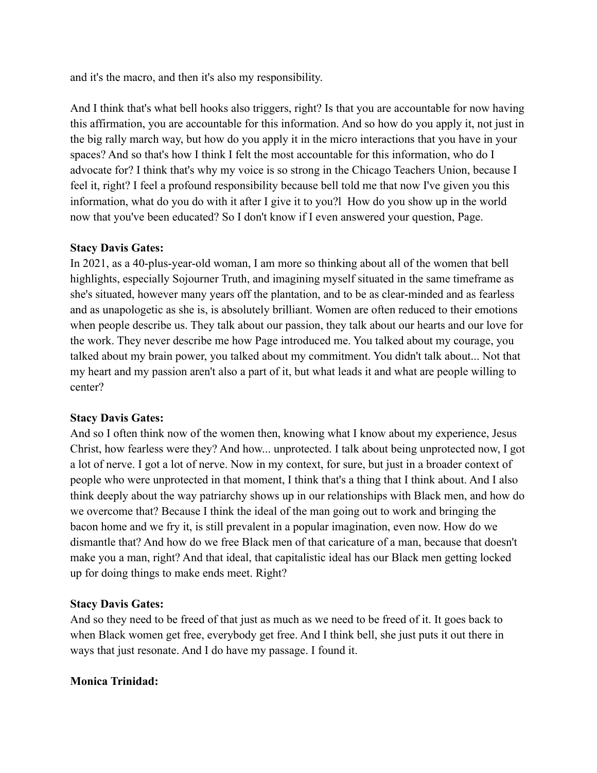and it's the macro, and then it's also my responsibility.

And I think that's what bell hooks also triggers, right? Is that you are accountable for now having this affirmation, you are accountable for this information. And so how do you apply it, not just in the big rally march way, but how do you apply it in the micro interactions that you have in your spaces? And so that's how I think I felt the most accountable for this information, who do I advocate for? I think that's why my voice is so strong in the Chicago Teachers Union, because I feel it, right? I feel a profound responsibility because bell told me that now I've given you this information, what do you do with it after I give it to you?l How do you show up in the world now that you've been educated? So I don't know if I even answered your question, Page.

## **Stacy Davis Gates:**

In 2021, as a 40-plus-year-old woman, I am more so thinking about all of the women that bell highlights, especially Sojourner Truth, and imagining myself situated in the same timeframe as she's situated, however many years off the plantation, and to be as clear-minded and as fearless and as unapologetic as she is, is absolutely brilliant. Women are often reduced to their emotions when people describe us. They talk about our passion, they talk about our hearts and our love for the work. They never describe me how Page introduced me. You talked about my courage, you talked about my brain power, you talked about my commitment. You didn't talk about... Not that my heart and my passion aren't also a part of it, but what leads it and what are people willing to center?

## **Stacy Davis Gates:**

And so I often think now of the women then, knowing what I know about my experience, Jesus Christ, how fearless were they? And how... unprotected. I talk about being unprotected now, I got a lot of nerve. I got a lot of nerve. Now in my context, for sure, but just in a broader context of people who were unprotected in that moment, I think that's a thing that I think about. And I also think deeply about the way patriarchy shows up in our relationships with Black men, and how do we overcome that? Because I think the ideal of the man going out to work and bringing the bacon home and we fry it, is still prevalent in a popular imagination, even now. How do we dismantle that? And how do we free Black men of that caricature of a man, because that doesn't make you a man, right? And that ideal, that capitalistic ideal has our Black men getting locked up for doing things to make ends meet. Right?

## **Stacy Davis Gates:**

And so they need to be freed of that just as much as we need to be freed of it. It goes back to when Black women get free, everybody get free. And I think bell, she just puts it out there in ways that just resonate. And I do have my passage. I found it.

## **Monica Trinidad:**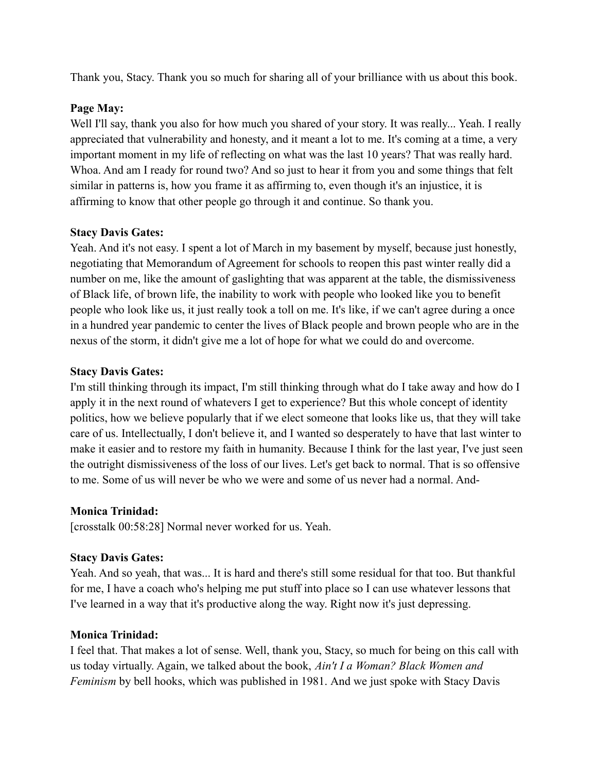Thank you, Stacy. Thank you so much for sharing all of your brilliance with us about this book.

## **Page May:**

Well I'll say, thank you also for how much you shared of your story. It was really... Yeah. I really appreciated that vulnerability and honesty, and it meant a lot to me. It's coming at a time, a very important moment in my life of reflecting on what was the last 10 years? That was really hard. Whoa. And am I ready for round two? And so just to hear it from you and some things that felt similar in patterns is, how you frame it as affirming to, even though it's an injustice, it is affirming to know that other people go through it and continue. So thank you.

## **Stacy Davis Gates:**

Yeah. And it's not easy. I spent a lot of March in my basement by myself, because just honestly, negotiating that Memorandum of Agreement for schools to reopen this past winter really did a number on me, like the amount of gaslighting that was apparent at the table, the dismissiveness of Black life, of brown life, the inability to work with people who looked like you to benefit people who look like us, it just really took a toll on me. It's like, if we can't agree during a once in a hundred year pandemic to center the lives of Black people and brown people who are in the nexus of the storm, it didn't give me a lot of hope for what we could do and overcome.

## **Stacy Davis Gates:**

I'm still thinking through its impact, I'm still thinking through what do I take away and how do I apply it in the next round of whatevers I get to experience? But this whole concept of identity politics, how we believe popularly that if we elect someone that looks like us, that they will take care of us. Intellectually, I don't believe it, and I wanted so desperately to have that last winter to make it easier and to restore my faith in humanity. Because I think for the last year, I've just seen the outright dismissiveness of the loss of our lives. Let's get back to normal. That is so offensive to me. Some of us will never be who we were and some of us never had a normal. And-

# **Monica Trinidad:**

[crosstalk 00:58:28] Normal never worked for us. Yeah.

# **Stacy Davis Gates:**

Yeah. And so yeah, that was... It is hard and there's still some residual for that too. But thankful for me, I have a coach who's helping me put stuff into place so I can use whatever lessons that I've learned in a way that it's productive along the way. Right now it's just depressing.

# **Monica Trinidad:**

I feel that. That makes a lot of sense. Well, thank you, Stacy, so much for being on this call with us today virtually. Again, we talked about the book, *Ain't I a Woman? Black Women and Feminism* by bell hooks, which was published in 1981. And we just spoke with Stacy Davis